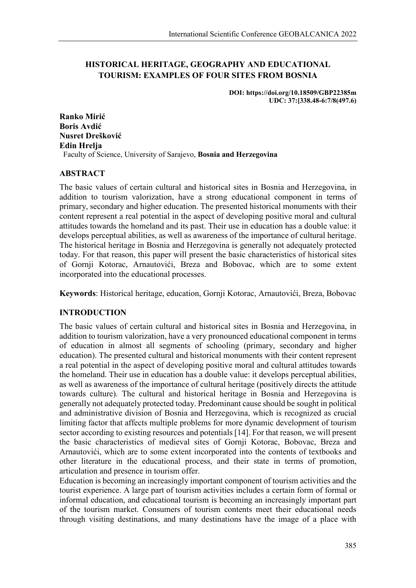# **HISTORICAL HERITAGE, GEOGRAPHY AND EDUCATIONAL TOURISM: EXAMPLES OF FOUR SITES FROM BOSNIA**

**DOI: https://doi.org/10.18509/GBP22385m UDC: 37:[338.48-6:7/8(497.6)**

**Ranko Mirić Boris Avdić Nusret Drešković Edin Hrelja** Faculty of Science, University of Sarajevo, **Bosnia and Herzegovina**

#### **ABSTRACT**

The basic values of certain cultural and historical sites in Bosnia and Herzegovina, in addition to tourism valorization, have a strong educational component in terms of primary, secondary and higher education. The presented historical monuments with their content represent a real potential in the aspect of developing positive moral and cultural attitudes towards the homeland and its past. Their use in education has a double value: it develops perceptual abilities, as well as awareness of the importance of cultural heritage. The historical heritage in Bosnia and Herzegovina is generally not adequately protected today. For that reason, this paper will present the basic characteristics of historical sites of Gornji Kotorac, Arnautovići, Breza and Bobovac, which are to some extent incorporated into the educational processes.

**Keywords**: Historical heritage, education, Gornji Kotorac, Arnautovići, Breza, Bobovac

## **INTRODUCTION**

The basic values of certain cultural and historical sites in Bosnia and Herzegovina, in addition to tourism valorization, have a very pronounced educational component in terms of education in almost all segments of schooling (primary, secondary and higher education). The presented cultural and historical monuments with their content represent a real potential in the aspect of developing positive moral and cultural attitudes towards the homeland. Their use in education has a double value: it develops perceptual abilities, as well as awareness of the importance of cultural heritage (positively directs the attitude towards culture). The cultural and historical heritage in Bosnia and Herzegovina is generally not adequately protected today. Predominant cause should be sought in political and administrative division of Bosnia and Herzegovina, which is recognized as crucial limiting factor that affects multiple problems for more dynamic development of tourism sector according to existing resources and potentials [14]. For that reason, we will present the basic characteristics of medieval sites of Gornji Kotorac, Bobovac, Breza and Arnautovići, which are to some extent incorporated into the contents of textbooks and other literature in the educational process, and their state in terms of promotion, articulation and presence in tourism offer.

Education is becoming an increasingly important component of tourism activities and the tourist experience. A large part of tourism activities includes a certain form of formal or informal education, and educational tourism is becoming an increasingly important part of the tourism market. Consumers of tourism contents meet their educational needs through visiting destinations, and many destinations have the image of a place with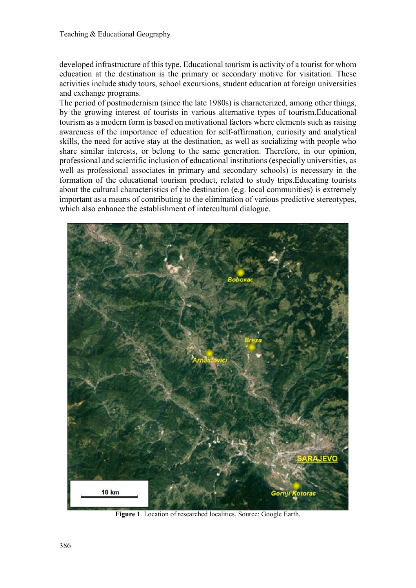developed infrastructure of this type. Educational tourism is activity of a tourist for whom education at the destination is the primary or secondary motive for visitation. These activities include study tours, school excursions, student education at foreign universities and exchange programs.

The period of postmodernism (since the late 1980s) is characterized, among other things, by the growing interest of tourists in various alternative types of tourism.Educational tourism as a modern form is based on motivational factors where elements such as raising awareness of the importance of education for self-affirmation, curiosity and analytical skills, the need for active stay at the destination, as well as socializing with people who share similar interests, or belong to the same generation. Therefore, in our opinion, professional and scientific inclusion of educational institutions (especially universities, as well as professional associates in primary and secondary schools) is necessary in the formation of the educational tourism product, related to study trips.Educating tourists about the cultural characteristics of the destination (e.g. local communities) is extremely important as a means of contributing to the elimination of various predictive stereotypes, which also enhance the establishment of intercultural dialogue.



**Figure 1**. Location of researched localities. Source: Google Earth.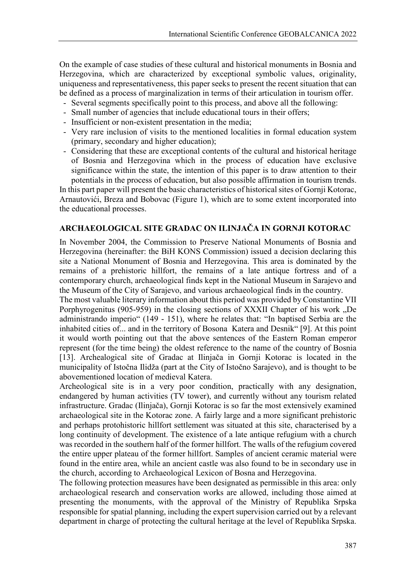On the example of case studies of these cultural and historical monuments in Bosnia and Herzegovina, which are characterized by exceptional symbolic values, originality, uniqueness and representativeness, this paper seeks to present the recent situation that can be defined as a process of marginalization in terms of their articulation in tourism offer.

- Several segments specifically point to this process, and above all the following:
- Small number of agencies that include educational tours in their offers;
- Insufficient or non-existent presentation in the media;
- Very rare inclusion of visits to the mentioned localities in formal education system (primary, secondary and higher education);
- Considering that these are exceptional contents of the cultural and historical heritage of Bosnia and Herzegovina which in the process of education have exclusive significance within the state, the intention of this paper is to draw attention to their potentials in the process of education, but also possible affirmation in tourism trends.

In this part paper will present the basic characteristics of historical sites of Gornji Kotorac, Arnautovići, Breza and Bobovac (Figure 1), which are to some extent incorporated into the educational processes.

## **ARCHAEOLOGICAL SITE GRADAC ON ILINJAČA IN GORNJI KOTORAC**

In November 2004, the Commission to Preserve National Monuments of Bosnia and Herzegovina (hereinafter: the BiH KONS Commission) issued a decision declaring this site a National Monument of Bosnia and Herzegovina. This area is dominated by the remains of a prehistoric hillfort, the remains of a late antique fortress and of a contemporary church, archaeological finds kept in the National Museum in Sarajevo and the Museum of the City of Sarajevo, and various archaeological finds in the country.

The most valuable literary information about this period was provided by Constantine VII Porphyrogenitus (905-959) in the closing sections of XXXII Chapter of his work "De administrando imperio" (149 - 151), where he relates that: "In baptised Serbia are the inhabited cities of... and in the territory of Bosona Katera and Desnik" [9]. At this point it would worth pointing out that the above sentences of the Eastern Roman emperor represent (for the time being) the oldest reference to the name of the country of Bosnia [13]. Archealogical site of Gradac at Ilinjača in Gornji Kotorac is located in the municipality of Istočna Ilidža (part at the City of Istočno Sarajevo), and is thought to be abovementioned location of medieval Katera.

Archeological site is in a very poor condition, practically with any designation, endangered by human activities (TV tower), and currently without any tourism related infrastructure. Gradac (Ilinjača), Gornji Kotorac is so far the most extensively examined archaeological site in the Kotorac zone. A fairly large and a more significant prehistoric and perhaps protohistoric hillfort settlement was situated at this site, characterised by a long continuity of development. The existence of a late antique refugium with a church was recorded in the southern half of the former hillfort. The walls of the refugium covered the entire upper plateau of the former hillfort. Samples of ancient ceramic material were found in the entire area, while an ancient castle was also found to be in secondary use in the church, according to Archaeological Lexicon of Bosna and Herzegovina.

The following protection measures have been designated as permissible in this area: only archaeological research and conservation works are allowed, including those aimed at presenting the monuments, with the approval of the Ministry of Republika Srpska responsible for spatial planning, including the expert supervision carried out by a relevant department in charge of protecting the cultural heritage at the level of Republika Srpska.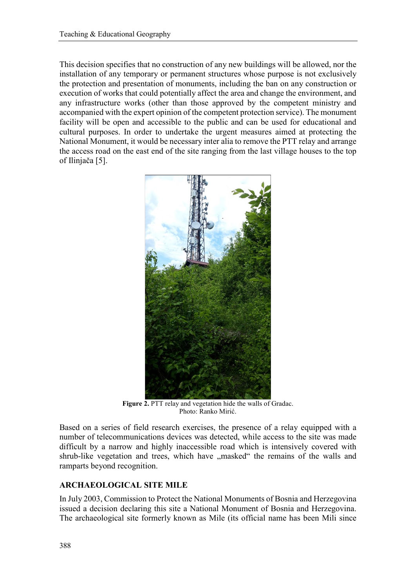This decision specifies that no construction of any new buildings will be allowed, nor the installation of any temporary or permanent structures whose purpose is not exclusively the protection and presentation of monuments, including the ban on any construction or execution of works that could potentially affect the area and change the environment, and any infrastructure works (other than those approved by the competent ministry and accompanied with the expert opinion of the competent protection service). The monument facility will be open and accessible to the public and can be used for educational and cultural purposes. In order to undertake the urgent measures aimed at protecting the National Monument, it would be necessary inter alia to remove the PTT relay and arrange the access road on the east end of the site ranging from the last village houses to the top of Ilinjača [5].



**Figure 2.** PTT relay and vegetation hide the walls of Gradac. Photo: Ranko Mirić.

Based on a series of field research exercises, the presence of a relay equipped with a number of telecommunications devices was detected, while access to the site was made difficult by a narrow and highly inaccessible road which is intensively covered with shrub-like vegetation and trees, which have "masked" the remains of the walls and ramparts beyond recognition.

## **ARCHAEOLOGICAL SITE MILE**

In July 2003, Commission to Protect the National Monuments of Bosnia and Herzegovina issued a decision declaring this site a National Monument of Bosnia and Herzegovina. The archaeological site formerly known as Mile (its official name has been Mili since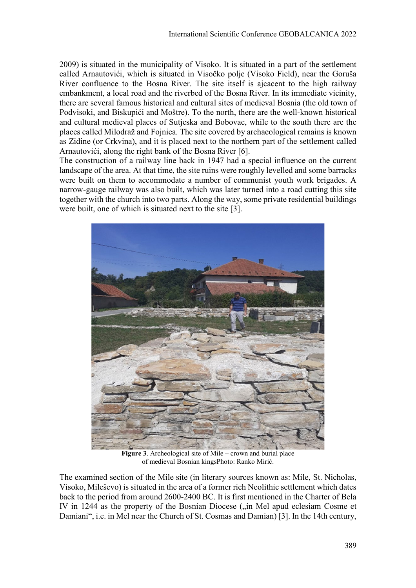2009) is situated in the municipality of Visoko. It is situated in a part of the settlement called Arnautovići, which is situated in Visočko polje (Visoko Field), near the Goruša River confluence to the Bosna River. The site itself is ajcacent to the high railway embankment, a local road and the riverbed of the Bosna River. In its immediate vicinity, there are several famous historical and cultural sites of medieval Bosnia (the old town of Podvisoki, and Biskupići and Moštre). To the north, there are the well-known historical and cultural medieval places of Sutjeska and Bobovac, while to the south there are the places called Milodraž and Fojnica. The site covered by archaeological remains is known as Zidine (or Crkvina), and it is placed next to the northern part of the settlement called Arnautovići, along the right bank of the Bosna River [6].

The construction of a railway line back in 1947 had a special influence on the current landscape of the area. At that time, the site ruins were roughly levelled and some barracks were built on them to accommodate a number of communist youth work brigades. A narrow-gauge railway was also built, which was later turned into a road cutting this site together with the church into two parts. Along the way, some private residential buildings were built, one of which is situated next to the site [3].



**Figure 3**. Archeological site of Mile – crown and burial place of medieval Bosnian kingsPhoto: Ranko Mirić.

The examined section of the Mile site (in literary sources known as: Mile, St. Nicholas, Visoko, Mileševo) is situated in the area of a former rich Neolithic settlement which dates back to the period from around 2600-2400 BC. It is first mentioned in the Charter of Bela IV in 1244 as the property of the Bosnian Diocese ( $\mu$ in Mel apud eclesiam Cosme et Damiani", i.e. in Mel near the Church of St. Cosmas and Damian) [3]. In the 14th century,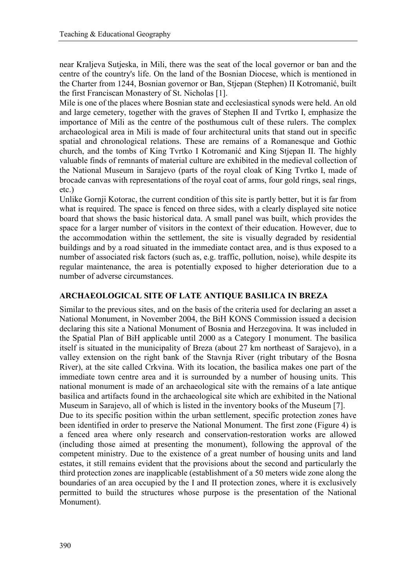near Kraljeva Sutjeska, in Mili, there was the seat of the local governor or ban and the centre of the country's life. On the land of the Bosnian Diocese, which is mentioned in the Charter from 1244, Bosnian governor or Ban, Stjepan (Stephen) II Kotromanić, built the first Franciscan Monastery of St. Nicholas [1].

Mile is one of the places where Bosnian state and ecclesiastical synods were held. An old and large cemetery, together with the graves of Stephen II and Tvrtko I, emphasize the importance of Mili as the centre of the posthumous cult of these rulers. The complex archaeological area in Mili is made of four architectural units that stand out in specific spatial and chronological relations. These are remains of a Romanesque and Gothic church, and the tombs of King Tvrtko I Kotromanić and King Stjepan II. The highly valuable finds of remnants of material culture are exhibited in the medieval collection of the National Museum in Sarajevo (parts of the royal cloak of King Tvrtko I, made of brocade canvas with representations of the royal coat of arms, four gold rings, seal rings, etc.)

Unlike Gornji Kotorac, the current condition of this site is partly better, but it is far from what is required. The space is fenced on three sides, with a clearly displayed site notice board that shows the basic historical data. A small panel was built, which provides the space for a larger number of visitors in the context of their education. However, due to the accommodation within the settlement, the site is visually degraded by residential buildings and by a road situated in the immediate contact area, and is thus exposed to a number of associated risk factors (such as, e.g. traffic, pollution, noise), while despite its regular maintenance, the area is potentially exposed to higher deterioration due to a number of adverse circumstances.

## **АRCHAEOLOGICAL SITE OF LATE ANTIQUE BASILICA IN BREZA**

Similar to the previous sites, and on the basis of the criteria used for declaring an asset a National Monument, in November 2004, the BiH KONS Commission issued a decision declaring this site a National Monument of Bosnia and Herzegovina. It was included in the Spatial Plan of BiH applicable until 2000 as a Category I monument. The basilica itself is situated in the municipality of Breza (about 27 km northeast of Sarajevo), in a valley extension on the right bank of the Stavnja River (right tributary of the Bosna River), at the site called Crkvina. With its location, the basilica makes one part of the immediate town centre area and it is surrounded by a number of housing units. This national monument is made of an archaeological site with the remains of a late antique basilica and artifacts found in the archaeological site which are exhibited in the National Museum in Sarajevo, all of which is listed in the inventory books of the Museum [7]. Due to its specific position within the urban settlement, specific protection zones have been identified in order to preserve the National Monument. The first zone (Figure 4) is a fenced area where only research and conservation-restoration works are allowed (including those aimed at presenting the monument), following the approval of the competent ministry. Due to the existence of a great number of housing units and land estates, it still remains evident that the provisions about the second and particularly the third protection zones are inapplicable (establishment of a 50 meters wide zone along the boundaries of an area occupied by the I and II protection zones, where it is exclusively permitted to build the structures whose purpose is the presentation of the National Monument).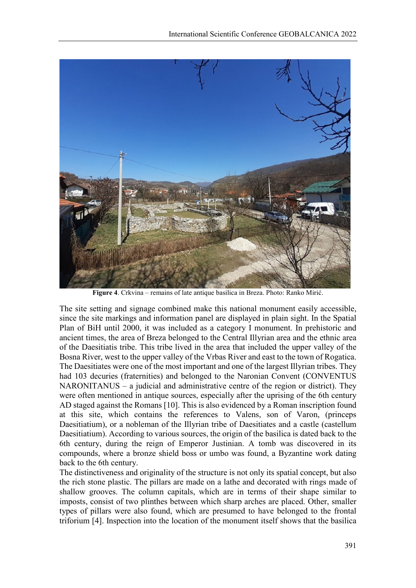

**Figure 4**. Crkvina – remains of late antique basilica in Breza. Photo: Ranko Mirić.

The site setting and signage combined make this national monument easily accessible, since the site markings and information panel are displayed in plain sight. In the Spatial Plan of BiH until 2000, it was included as a category I monument. In prehistoric and ancient times, the area of Breza belonged to the Central Illyrian area and the ethnic area of the Daesitiatis tribe. This tribe lived in the area that included the upper valley of the Bosna River, west to the upper valley of the Vrbas River and east to the town of Rogatica. The Daesitiates were one of the most important and one of the largest Illyrian tribes. They had 103 decuries (fraternities) and belonged to the Naronian Convent (CONVENTUS NARONITANUS – a judicial and administrative centre of the region or district). They were often mentioned in antique sources, especially after the uprising of the 6th century AD staged against the Romans [10]. This is also evidenced by a Roman inscription found at this site, which contains the references to Valens, son of Varon, (princeps Daesitiatium), or a nobleman of the Illyrian tribe of Daesitiates and a castle (castellum Daesitiatium). According to various sources, the origin of the basilica is dated back to the 6th century, during the reign of Emperor Justinian. A tomb was discovered in its compounds, where a bronze shield boss or umbo was found, a Byzantine work dating back to the 6th century.

The distinctiveness and originality of the structure is not only its spatial concept, but also the rich stone plastic. The pillars are made on a lathe and decorated with rings made of shallow grooves. The column capitals, which are in terms of their shape similar to imposts, consist of two plinthes between which sharp arches are placed. Other, smaller types of pillars were also found, which are presumed to have belonged to the frontal triforium [4]. Inspection into the location of the monument itself shows that the basilica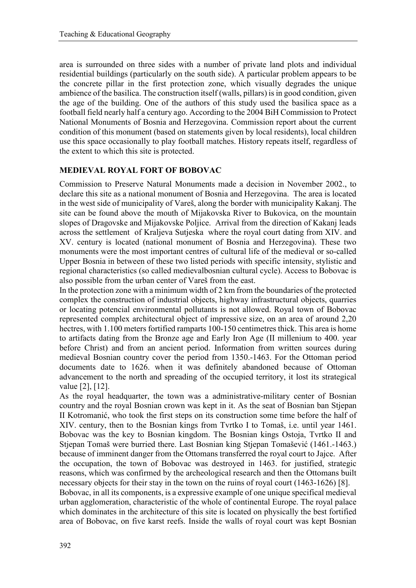area is surrounded on three sides with a number of private land plots and individual residential buildings (particularly on the south side). A particular problem appears to be the concrete pillar in the first protection zone, which visually degrades the unique ambience of the basilica. The construction itself (walls, pillars) is in good condition, given the age of the building. One of the authors of this study used the basilica space as a football field nearly half a century ago. According to the 2004 BiH Commission to Protect National Monuments of Bosnia and Herzegovina. Commission report about the current condition of this monument (based on statements given by local residents), local children use this space occasionally to play football matches. History repeats itself, regardless of the extent to which this site is protected.

#### **MEDIEVAL ROYAL FORT OF BOBOVAC**

Commission to Preserve Natural Monuments made a decision in November 2002., to declare this site as a national monument of Bosnia and Herzegovina. The area is located in the west side of municipality of Vareš, along the border with municipality Kakanj. The site can be found above the mouth of Mijakovska River to Bukovica, on the mountain slopes of Dragovske and Mijakovske Poljice. Arrival from the direction of Kakanj leads across the settlement of Kraljeva Sutjeska where the royal court dating from XIV. and XV. century is located (national monument of Bosnia and Herzegovina). These two monuments were the most important centres of cultural life of the medieval or so-called Upper Bosnia in between of these two listed periods with specific intensity, stylistic and regional characteristics (so called medievalbosnian cultural cycle). Access to Bobovac is also possible from the urban center of Vareš from the east.

In the protection zone with a minimum width of 2 km from the boundaries of the protected complex the construction of industrial objects, highway infrastructural objects, quarries or locating potencial environmental pollutants is not allowed. Royal town of Bobovac represented complex architectural object of impressive size, on an area of around 2,20 hectres, with 1.100 meters fortified ramparts 100-150 centimetres thick. This area is home to artifacts dating from the Bronze age and Early Iron Age (II millenium to 400. year before Christ) and from an ancient period. Information from written sources during medieval Bosnian country cover the period from 1350.-1463. For the Ottoman period documents date to 1626. when it was definitely abandoned because of Ottoman advancement to the north and spreading of the occupied territory, it lost its strategical value [2], [12].

As the royal headquarter, the town was a administrative-military center of Bosnian country and the royal Bosnian crown was kept in it. As the seat of Bosnian ban Stjepan II Kotromanić, who took the first steps on its construction some time before the half of XIV. century, then to the Bosnian kings from Tvrtko I to Tomaš, i.e. until year 1461. Bobovac was the key to Bosnian kingdom. The Bosnian kings Ostoja, Tvrtko II and Stjepan Tomaš were burried there. Last Bosnian king Stjepan Tomašević (1461.-1463.) because of imminent danger from the Ottomans transferred the royal court to Jajce. After the occupation, the town of Bobovac was destroyed in 1463. for justified, strategic reasons, which was confirmed by the archeological research and then the Ottomans built necessary objects for their stay in the town on the ruins of royal court (1463-1626) [8].

Bobovac, in all its components, is a expressive example of one unique specifical medieval urban agglomeration, characteristic of the whole of continental Europe. The royal palace which dominates in the architecture of this site is located on physically the best fortified area of Bobovac, on five karst reefs. Inside the walls of royal court was kept Bosnian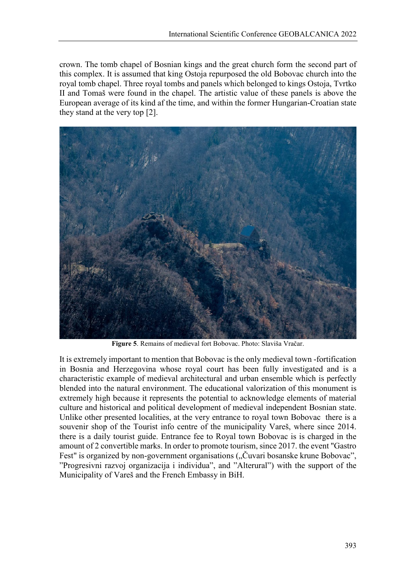crown. The tomb chapel of Bosnian kings and the great church form the second part of this complex. It is assumed that king Ostoja repurposed the old Bobovac church into the royal tomb chapel. Three royal tombs and panels which belonged to kings Ostoja, Tvrtko II and Tomaš were found in the chapel. The artistic value of these panels is above the European average of its kind af the time, and within the former Hungarian-Croatian state they stand at the very top [2].



**Figure 5**. Remains of medieval fort Bobovac. Photo: Slaviša Vračar.

It is extremely important to mention that Bobovac is the only medieval town -fortification in Bosnia and Herzegovina whose royal court has been fully investigated and is a characteristic example of medieval architectural and urban ensemble which is perfectly blended into the natural environment. The educational valorization of this monument is extremely high because it represents the potential to acknowledge elements of material culture and historical and political development of medieval independent Bosnian state. Unlike other presented localities, at the very entrance to royal town Bobovac there is a souvenir shop of the Tourist info centre of the municipality Vareš, where since 2014. there is a daily tourist guide. Entrance fee to Royal town Bobovac is is charged in the amount of 2 convertible marks. In order to promote tourism, since 2017. the event "Gastro Fest" is organized by non-government organisations ("Cuvari bosanske krune Bobovac", "Progresivni razvoj organizacija i individua", and "Alterural") with the support of the Municipality of Vareš and the French Embassy in BiH.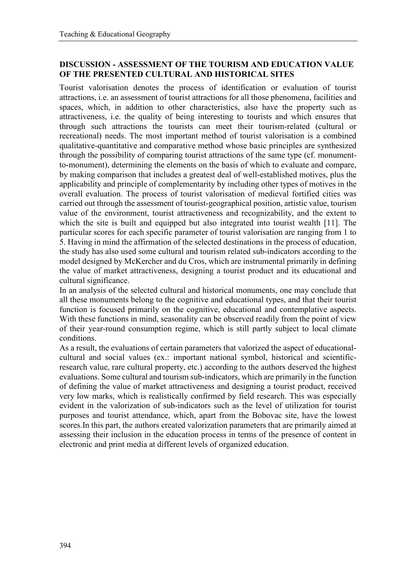## **DISCUSSION - ASSESSMENT OF THE TOURISM AND EDUCATION VALUE OF THE PRESENTED CULTURAL AND HISTORICAL SITES**

Tourist valorisation denotes the process of identification or evaluation of tourist attractions, i.e. an assessment of tourist attractions for all those phenomena, facilities and spaces, which, in addition to other characteristics, also have the property such as attractiveness, i.e. the quality of being interesting to tourists and which ensures that through such attractions the tourists can meet their tourism-related (cultural or recreational) needs. The most important method of tourist valorisation is a combined qualitative-quantitative and comparative method whose basic principles are synthesized through the possibility of comparing tourist attractions of the same type (cf. monumentto-monument), determining the elements on the basis of which to evaluate and compare, by making comparison that includes a greatest deal of well-established motives, plus the applicability and principle of complementarity by including other types of motives in the overall evaluation. The process of tourist valorisation of medieval fortified cities was carried out through the assessment of tourist-geographical position, artistic value, tourism value of the environment, tourist attractiveness and recognizability, and the extent to which the site is built and equipped but also integrated into tourist wealth [11]. The particular scores for each specific parameter of tourist valorisation are ranging from 1 to 5. Having in mind the affirmation of the selected destinations in the process of education, the study has also used some cultural and tourism related sub-indicators according to the model designed by McKercher and du Cros, which are instrumental primarily in defining the value of market attractiveness, designing a tourist product and its educational and cultural significance.

In an analysis of the selected cultural and historical monuments, one may conclude that all these monuments belong to the cognitive and educational types, and that their tourist function is focused primarily on the cognitive, educational and contemplative aspects. With these functions in mind, seasonality can be observed readily from the point of view of their year-round consumption regime, which is still partly subject to local climate conditions.

As a result, the evaluations of certain parameters that valorized the aspect of educationalcultural and social values (ex.: important national symbol, historical and scientificresearch value, rare cultural property, etc.) according to the authors deserved the highest evaluations. Some cultural and tourism sub-indicators, which are primarily in the function of defining the value of market attractiveness and designing a tourist product, received very low marks, which is realistically confirmed by field research. This was especially evident in the valorization of sub-indicators such as the level of utilization for tourist purposes and tourist attendance, which, apart from the Bobovac site, have the lowest scores.In this part, the authors created valorization parameters that are primarily aimed at assessing their inclusion in the education process in terms of the presence of content in electronic and print media at different levels of organized education.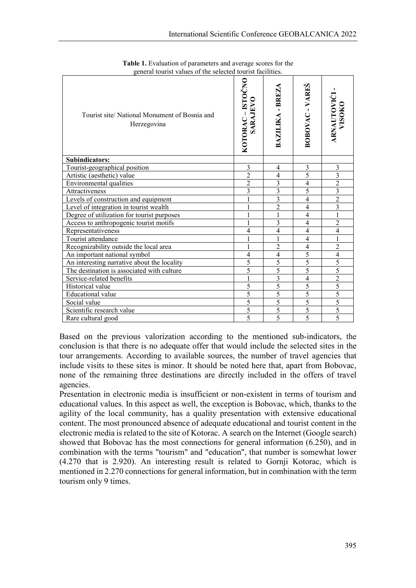| encial totalist values of the screeted totalist facilities.  |                                              |                      |                 |                             |
|--------------------------------------------------------------|----------------------------------------------|----------------------|-----------------|-----------------------------|
| Tourist site/ National Monument of Bosnia and<br>Herzegovina | <b>JRAC – ISTOČNO</b><br>SARAJEVO<br>KOTORAC | $-BRELA$<br>BAZILIKA | BOBOVAC - VAREŠ | <b>ARNAUTOVIĆ</b><br>VISOKO |
| <b>Subindicators:</b>                                        |                                              |                      |                 |                             |
| Tourist-geographical position                                | 3                                            | 4                    | 3               | 3                           |
| Artistic (aesthetic) value                                   | $\mathcal{D}_{\mathcal{A}}$                  | $\overline{4}$       | 5               | $\overline{3}$              |
| Environmental qualities                                      | $\overline{2}$                               | 3                    | $\overline{4}$  | $\overline{2}$              |
| Attractiveness                                               | 3                                            | 3                    | 5               | $\overline{3}$              |
| Levels of construction and equipment                         |                                              | 3                    | 4               | $\overline{2}$              |
| Level of integration in tourist wealth                       |                                              | $\overline{2}$       | $\overline{4}$  | $\overline{3}$              |
| Degree of utilization for tourist purposes                   |                                              |                      | $\overline{4}$  | $\mathbf{1}$                |
| Access to anthropogenic tourist motifs                       |                                              | 3                    | $\overline{4}$  | $\overline{2}$              |
| Representativeness                                           | 4                                            | 4                    | $\overline{4}$  | $\overline{4}$              |
| Tourist attendance                                           |                                              |                      | $\overline{4}$  | $\mathbf{1}$                |
| Recognizability outside the local area                       |                                              | $\overline{2}$       | $\overline{4}$  | $\overline{2}$              |
| An important national symbol                                 | $\overline{4}$                               | $\overline{4}$       | 5               | $\overline{4}$              |
| An interesting narrative about the locality                  | 5                                            | 5                    | 5               | 5                           |
| The destination is associated with culture                   | 5                                            | 5                    | 5               | $\overline{5}$              |
| Service-related benefits                                     |                                              | 3                    | $\overline{4}$  | $\overline{2}$              |
| Historical value                                             | 5                                            | $\overline{5}$       | 5               | $\overline{5}$              |
| Educational value                                            | 5                                            | 5                    | 5               | $\overline{5}$              |
| Social value                                                 | 5                                            | 5                    | 5               | $\overline{5}$              |
| Scientific research value                                    | 5                                            | 5                    | 5               | $\overline{5}$              |
| Rare cultural good                                           | 5                                            | $\overline{5}$       | $\overline{5}$  | $\overline{5}$              |

**Table 1.** Evaluation of parameters and average scores for the general tourist values of the selected tourist facilities.

Based on the previous valorization according to the mentioned sub-indicators, the conclusion is that there is no adequate offer that would include the selected sites in the tour arrangements. According to available sources, the number of travel agencies that include visits to these sites is minor. It should be noted here that, apart from Bobovac, none of the remaining three destinations are directly included in the offers of travel agencies.

Presentation in electronic media is insufficient or non-existent in terms of tourism and educational values. In this aspect as well, the exception is Bobovac, which, thanks to the agility of the local community, has a quality presentation with extensive educational content. The most pronounced absence of adequate educational and tourist content in the electronic media is related to the site of Kotorac. A search on the Internet (Google search) showed that Bobovac has the most connections for general information (6.250), and in combination with the terms "tourism" and "education", that number is somewhat lower (4.270 that is 2.920). An interesting result is related to Gornji Kotorac, which is mentioned in 2.270 connections for general information, but in combination with the term tourism only 9 times.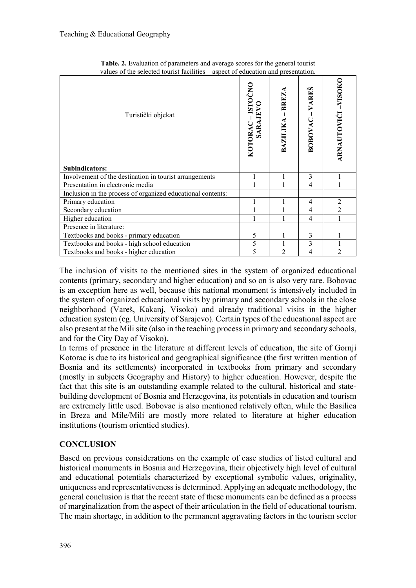| Turistički objekat                                          | KOTORAC-ISTOČNO<br>SARAJEVC | <b>BREZA</b><br>BAZILIKA | VAREŠ<br><b>BOBOVAC</b> | ARNAUTOVIĆI-VISOKO |
|-------------------------------------------------------------|-----------------------------|--------------------------|-------------------------|--------------------|
| Subindicators:                                              |                             |                          |                         |                    |
| Involvement of the destination in tourist arrangements      |                             |                          | 3                       |                    |
| Presentation in electronic media                            |                             |                          | 4                       |                    |
| Inclusion in the process of organized educational contents: |                             |                          |                         |                    |
| Primary education                                           |                             |                          | $\overline{4}$          | $\overline{2}$     |
| Secondary education                                         |                             |                          | 4                       | $\overline{2}$     |
| Higher education                                            |                             |                          | 4                       |                    |
| Presence in literature:                                     |                             |                          |                         |                    |
| Textbooks and books - primary education                     | 5                           |                          | 3                       |                    |
| Textbooks and books - high school education                 | 5                           |                          | 3                       |                    |
| Textbooks and books - higher education                      | 5                           | $\mathfrak{D}$           | 4                       | $\mathfrak{D}$     |

**Table. 2.** Evaluation of parameters and average scores for the general tourist values of the selected tourist facilities – aspect of education and presentation.

The inclusion of visits to the mentioned sites in the system of organized educational contents (primary, secondary and higher education) and so on is also very rare. Bobovac is an exception here as well, because this national monument is intensively included in the system of organized educational visits by primary and secondary schools in the close neighborhood (Vareš, Kakanj, Visoko) and already traditional visits in the higher education system (eg. University of Sarajevo). Certain types of the educational aspect are also present at the Mili site (also in the teaching process in primary and secondary schools, and for the City Day of Visoko).

In terms of presence in the literature at different levels of education, the site of Gornji Kotorac is due to its historical and geographical significance (the first written mention of Bosnia and its settlements) incorporated in textbooks from primary and secondary (mostly in subjects Geography and History) to higher education. However, despite the fact that this site is an outstanding example related to the cultural, historical and statebuilding development of Bosnia and Herzegovina, its potentials in education and tourism are extremely little used. Bobovac is also mentioned relatively often, while the Basilica in Breza and Mile/Mili are mostly more related to literature at higher education institutions (tourism orientied studies).

## **CONCLUSION**

Based on previous considerations on the example of case studies of listed cultural and historical monuments in Bosnia and Herzegovina, their objectively high level of cultural and educational potentials characterized by exceptional symbolic values, originality, uniqueness and representativeness is determined. Applying an adequate methodology, the general conclusion is that the recent state of these monuments can be defined as a process of marginalization from the aspect of their articulation in the field of educational tourism. The main shortage, in addition to the permanent aggravating factors in the tourism sector